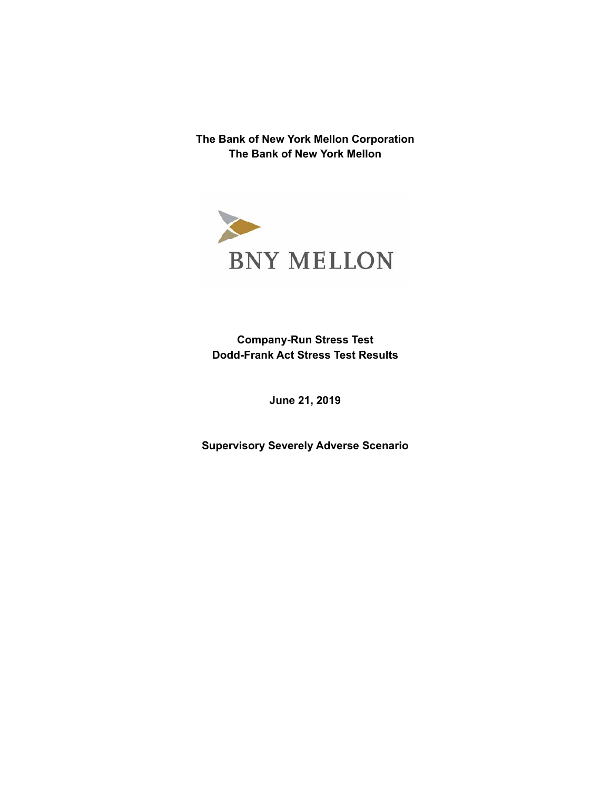**The Bank of New York Mellon Corporation The Bank of New York Mellon**



**Company-Run Stress Test Dodd-Frank Act Stress Test Results** 

**June 21, 2019** 

 **Supervisory Severely Adverse Scenario**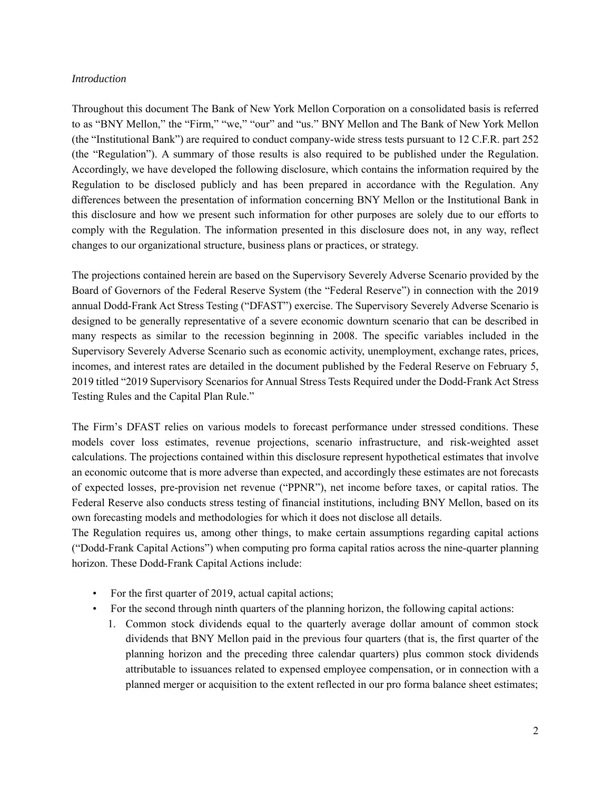#### *Introduction*

 (the "Regulation"). A summary of those results is also required to be published under the Regulation. Throughout this document The Bank of New York Mellon Corporation on a consolidated basis is referred to as "BNY Mellon," the "Firm," "we," "our" and "us." BNY Mellon and The Bank of New York Mellon (the "Institutional Bank") are required to conduct company-wide stress tests pursuant to 12 C.F.R. part 252 Accordingly, we have developed the following disclosure, which contains the information required by the Regulation to be disclosed publicly and has been prepared in accordance with the Regulation. Any differences between the presentation of information concerning BNY Mellon or the Institutional Bank in this disclosure and how we present such information for other purposes are solely due to our efforts to comply with the Regulation. The information presented in this disclosure does not, in any way, reflect changes to our organizational structure, business plans or practices, or strategy.

 annual Dodd-Frank Act Stress Testing ("DFAST") exercise. The Supervisory Severely Adverse Scenario is many respects as similar to the recession beginning in 2008. The specific variables included in the The projections contained herein are based on the Supervisory Severely Adverse Scenario provided by the Board of Governors of the Federal Reserve System (the "Federal Reserve") in connection with the 2019 designed to be generally representative of a severe economic downturn scenario that can be described in Supervisory Severely Adverse Scenario such as economic activity, unemployment, exchange rates, prices, incomes, and interest rates are detailed in the document published by the Federal Reserve on February 5, 2019 titled "2019 Supervisory Scenarios for Annual Stress Tests Required under the Dodd-Frank Act Stress Testing Rules and the Capital Plan Rule."

 The Firm's DFAST relies on various models to forecast performance under stressed conditions. These models cover loss estimates, revenue projections, scenario infrastructure, and risk-weighted asset calculations. The projections contained within this disclosure represent hypothetical estimates that involve an economic outcome that is more adverse than expected, and accordingly these estimates are not forecasts of expected losses, pre-provision net revenue ("PPNR"), net income before taxes, or capital ratios. The Federal Reserve also conducts stress testing of financial institutions, including BNY Mellon, based on its own forecasting models and methodologies for which it does not disclose all details.

The Regulation requires us, among other things, to make certain assumptions regarding capital actions ("Dodd-Frank Capital Actions") when computing pro forma capital ratios across the nine-quarter planning horizon. These Dodd-Frank Capital Actions include:

- For the first quarter of 2019, actual capital actions;
- For the second through ninth quarters of the planning horizon, the following capital actions:
	- dividends that BNY Mellon paid in the previous four quarters (that is, the first quarter of the 1. Common stock dividends equal to the quarterly average dollar amount of common stock planning horizon and the preceding three calendar quarters) plus common stock dividends attributable to issuances related to expensed employee compensation, or in connection with a planned merger or acquisition to the extent reflected in our pro forma balance sheet estimates;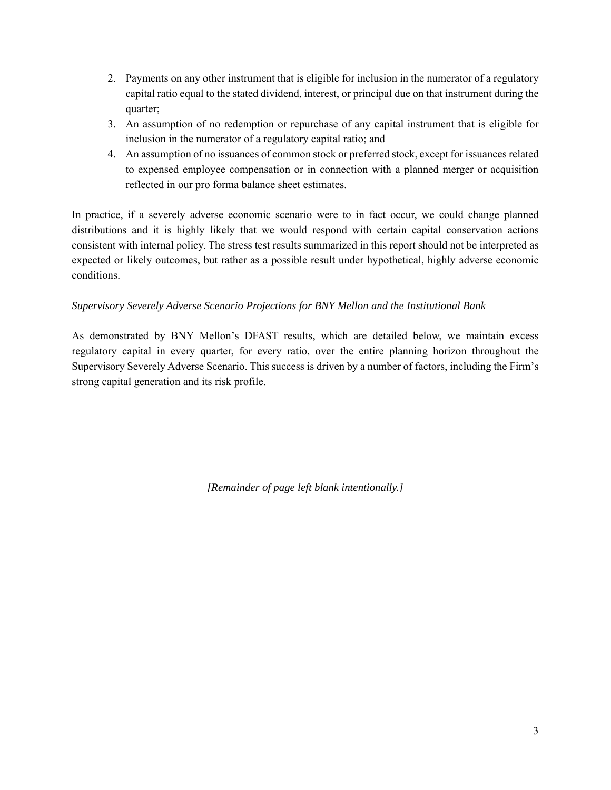- 2. Payments on any other instrument that is eligible for inclusion in the numerator of a regulatory capital ratio equal to the stated dividend, interest, or principal due on that instrument during the quarter;
- 3. An assumption of no redemption or repurchase of any capital instrument that is eligible for inclusion in the numerator of a regulatory capital ratio; and
- 4. An assumption of no issuances of common stock or preferred stock, except for issuances related to expensed employee compensation or in connection with a planned merger or acquisition reflected in our pro forma balance sheet estimates.

 distributions and it is highly likely that we would respond with certain capital conservation actions consistent with internal policy. The stress test results summarized in this report should not be interpreted as In practice, if a severely adverse economic scenario were to in fact occur, we could change planned expected or likely outcomes, but rather as a possible result under hypothetical, highly adverse economic conditions.

# *Supervisory Severely Adverse Scenario Projections for BNY Mellon and the Institutional Bank*

 As demonstrated by BNY Mellon's DFAST results, which are detailed below, we maintain excess regulatory capital in every quarter, for every ratio, over the entire planning horizon throughout the Supervisory Severely Adverse Scenario. This success is driven by a number of factors, including the Firm's strong capital generation and its risk profile.

*[Remainder of page left blank intentionally.]*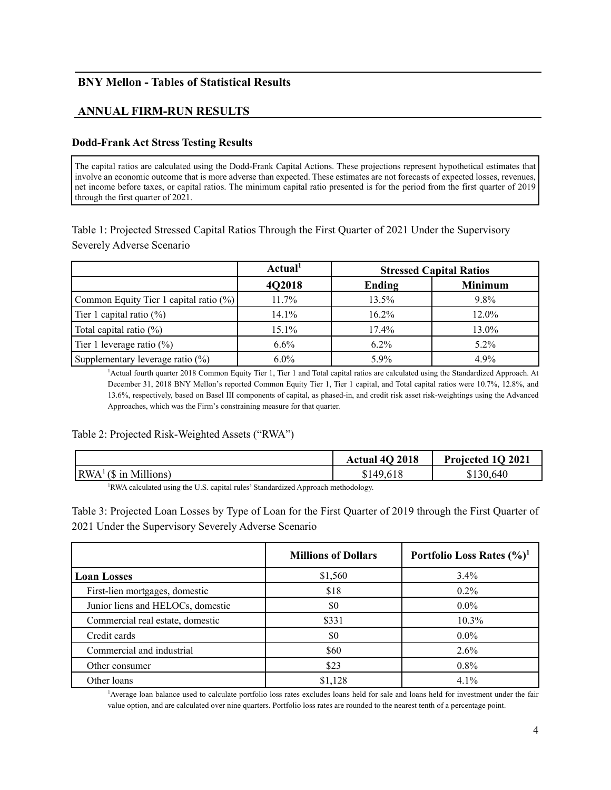## **BNY Mellon - Tables of Statistical Results**

# **ANNUAL FIRM-RUN RESULTS**

### **Dodd-Frank Act Stress Testing Results**

 involve an economic outcome that is more adverse than expected. These estimates are not forecasts of expected losses, revenues, net income before taxes, or capital ratios. The minimum capital ratio presented is for the period from the first quarter of 2019 The capital ratios are calculated using the Dodd-Frank Capital Actions. These projections represent hypothetical estimates that through the first quarter of 2021.

Table 1: Projected Stressed Capital Ratios Through the First Quarter of 2021 Under the Supervisory Severely Adverse Scenario

|                                        | Actual <sup>1</sup> | <b>Stressed Capital Ratios</b> |                |
|----------------------------------------|---------------------|--------------------------------|----------------|
|                                        | 4Q2018              | Ending                         | <b>Minimum</b> |
| Common Equity Tier 1 capital ratio (%) | 11.7%               | 13.5%                          | 9.8%           |
| Tier 1 capital ratio $(\%)$            | 14.1%               | $16.2\%$                       | 12.0%          |
| Total capital ratio $(\%)$             | 15.1%               | 17.4%                          | 13.0%          |
| Tier 1 leverage ratio $(\%)$           | $6.6\%$             | $6.2\%$                        | $5.2\%$        |
| Supplementary leverage ratio (%)       | $6.0\%$             | 5.9%                           | 4.9%           |

<sup>1</sup>Actual fourth quarter 2018 Common Equity Tier 1, Tier 1 and Total capital ratios are calculated using the Standardized Approach. At December 31, 2018 BNY Mellon's reported Common Equity Tier 1, Tier 1 capital, and Total capital ratios were 10.7%, 12.8%, and 13.6%, respectively, based on Basel III components of capital, as phased-in, and credit risk asset risk-weightings using the Advanced Approaches, which was the Firm's constraining measure for that quarter.

#### Table 2: Projected Risk-Weighted Assets ("RWA")

|                                                                                              | <b>Actual 40 2018</b> | Projected 1Q 2021 |
|----------------------------------------------------------------------------------------------|-----------------------|-------------------|
| $\mathbb{R} \text{WA}^1$ (\$ in Millions)                                                    | \$149,618             | \$130,640         |
| <sup>1</sup> RWA calculated using the U.S. capital rules' Standardized Approach methodology. |                       |                   |

Table 3: Projected Loan Losses by Type of Loan for the First Quarter of 2019 through the First Quarter of 2021 Under the Supervisory Severely Adverse Scenario

|                                   | <b>Millions of Dollars</b> | Portfolio Loss Rates $(\frac{9}{6})^1$ |
|-----------------------------------|----------------------------|----------------------------------------|
| <b>Loan Losses</b>                | \$1,560                    | $3.4\%$                                |
| First-lien mortgages, domestic    | \$18                       | $0.2\%$                                |
| Junior liens and HELOCs, domestic | \$0                        | $0.0\%$                                |
| Commercial real estate, domestic  | \$331                      | 10.3%                                  |
| Credit cards                      | \$0                        | $0.0\%$                                |
| Commercial and industrial         | \$60                       | 2.6%                                   |
| Other consumer                    | \$23                       | $0.8\%$                                |
| Other loans                       | \$1,128                    | $4.1\%$                                |

1 Average loan balance used to calculate portfolio loss rates excludes loans held for sale and loans held for investment under the fair value option, and are calculated over nine quarters. Portfolio loss rates are rounded to the nearest tenth of a percentage point.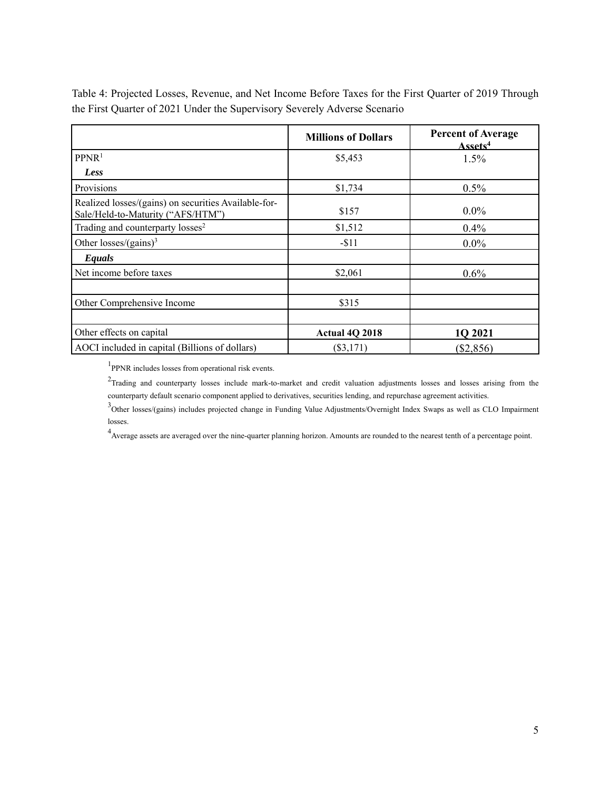|                                                                                           | <b>Millions of Dollars</b> | <b>Percent of Average</b><br>Assets <sup>4</sup> |
|-------------------------------------------------------------------------------------------|----------------------------|--------------------------------------------------|
| PPNR <sup>1</sup>                                                                         | \$5,453                    | 1.5%                                             |
| Less                                                                                      |                            |                                                  |
| Provisions                                                                                | \$1,734                    | 0.5%                                             |
| Realized losses/(gains) on securities Available-for-<br>Sale/Held-to-Maturity ("AFS/HTM") | \$157                      | $0.0\%$                                          |
| Trading and counterparty losses <sup>2</sup>                                              | \$1,512                    | $0.4\%$                                          |
| Other losses/(gains) <sup>3</sup>                                                         | $-11$                      | $0.0\%$                                          |
| Equals                                                                                    |                            |                                                  |
| Net income before taxes                                                                   | \$2,061                    | $0.6\%$                                          |
| Other Comprehensive Income                                                                | \$315                      |                                                  |
| Other effects on capital                                                                  | Actual 4Q 2018             | 1Q 2021                                          |
| AOCI included in capital (Billions of dollars)                                            | $(\$3,171)$                | $(\$2,856)$                                      |

 Table 4: Projected Losses, Revenue, and Net Income Before Taxes for the First Quarter of 2019 Through the First Quarter of 2021 Under the Supervisory Severely Adverse Scenario

<sup>1</sup>PPNR includes losses from operational risk events.

 $2$ Trading and counterparty losses include mark-to-market and credit valuation adjustments losses and losses arising from the counterparty default scenario component applied to derivatives, securities lending, and repurchase agreement activities.

<sup>3</sup>Other losses/(gains) includes projected change in Funding Value Adjustments/Overnight Index Swaps as well as CLO Impairment losses.

<sup>4</sup> Average assets are averaged over the nine-quarter planning horizon. Amounts are rounded to the nearest tenth of a percentage point.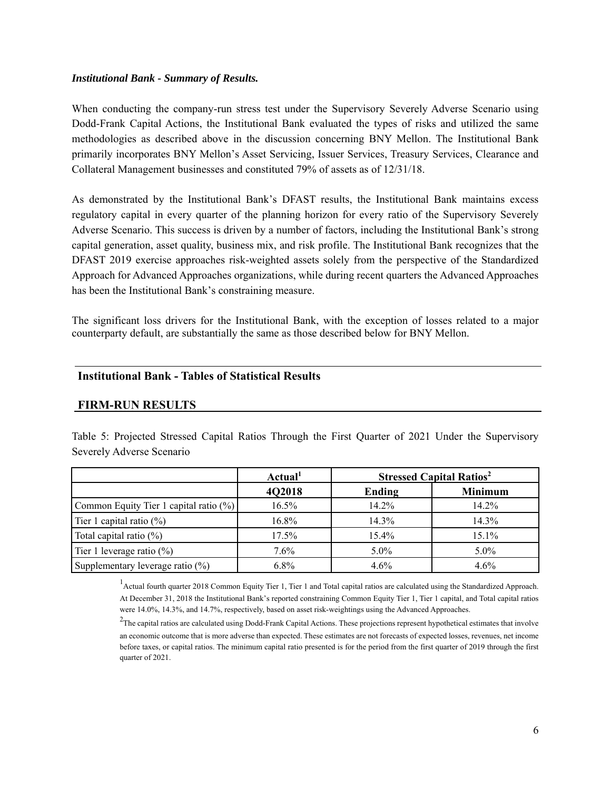#### *Institutional Bank - Summary of Results.*

When conducting the company-run stress test under the Supervisory Severely Adverse Scenario using Dodd-Frank Capital Actions, the Institutional Bank evaluated the types of risks and utilized the same methodologies as described above in the discussion concerning BNY Mellon. The Institutional Bank primarily incorporates BNY Mellon's Asset Servicing, Issuer Services, Treasury Services, Clearance and Collateral Management businesses and constituted 79% of assets as of 12/31/18.

 regulatory capital in every quarter of the planning horizon for every ratio of the Supervisory Severely Adverse Scenario. This success is driven by a number of factors, including the Institutional Bank's strong DFAST 2019 exercise approaches risk-weighted assets solely from the perspective of the Standardized As demonstrated by the Institutional Bank's DFAST results, the Institutional Bank maintains excess capital generation, asset quality, business mix, and risk profile. The Institutional Bank recognizes that the Approach for Advanced Approaches organizations, while during recent quarters the Advanced Approaches has been the Institutional Bank's constraining measure.

 The significant loss drivers for the Institutional Bank, with the exception of losses related to a major counterparty default, are substantially the same as those described below for BNY Mellon.

### **Institutional Bank - Tables of Statistical Results**

### **FIRM-RUN RESULTS**

Table 5: Projected Stressed Capital Ratios Through the First Quarter of 2021 Under the Supervisory Severely Adverse Scenario

|                                        | Actual <sup>1</sup> | <b>Stressed Capital Ratios<sup>2</sup></b> |                |
|----------------------------------------|---------------------|--------------------------------------------|----------------|
|                                        | 4Q2018              | Ending                                     | <b>Minimum</b> |
| Common Equity Tier 1 capital ratio (%) | 16.5%               | 14.2%                                      | 14.2%          |
| Tier 1 capital ratio $(\%)$            | 16.8%               | 14.3%                                      | 14.3%          |
| Total capital ratio $(\%)$             | 17.5%               | 15.4%                                      | 15.1%          |
| Tier 1 leverage ratio $(\%)$           | 7.6%                | $5.0\%$                                    | $5.0\%$        |
| Supplementary leverage ratio (%)       | $6.8\%$             | $4.6\%$                                    | 4.6%           |

<sup>1</sup> Actual fourth quarter 2018 Common Equity Tier 1, Tier 1 and Total capital ratios are calculated using the Standardized Approach. were 14.0%, 14.3%, and 14.7%, respectively, based on asset risk-weightings using the Advanced Approaches. At December 31, 2018 the Institutional Bank's reported constraining Common Equity Tier 1, Tier 1 capital, and Total capital ratios

 quarter of 2021.  $^2$ The capital ratios are calculated using Dodd-Frank Capital Actions. These projections represent hypothetical estimates that involve an economic outcome that is more adverse than expected. These estimates are not forecasts of expected losses, revenues, net income before taxes, or capital ratios. The minimum capital ratio presented is for the period from the first quarter of 2019 through the first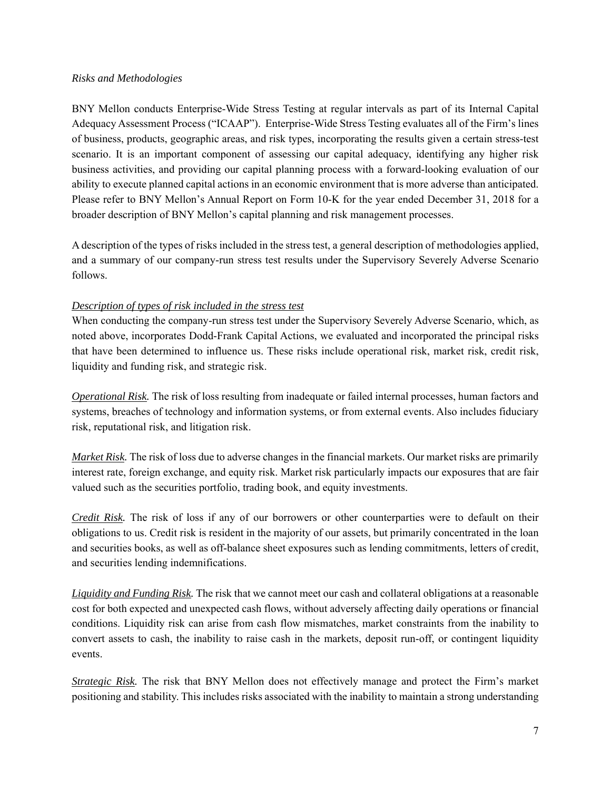### *Risks and Methodologies*

 scenario. It is an important component of assessing our capital adequacy, identifying any higher risk business activities, and providing our capital planning process with a forward-looking evaluation of our BNY Mellon conducts Enterprise-Wide Stress Testing at regular intervals as part of its Internal Capital Adequacy Assessment Process ("ICAAP"). Enterprise-Wide Stress Testing evaluates all of the Firm's lines of business, products, geographic areas, and risk types, incorporating the results given a certain stress-test ability to execute planned capital actions in an economic environment that is more adverse than anticipated. Please refer to BNY Mellon's Annual Report on Form 10-K for the year ended December 31, 2018 for a broader description of BNY Mellon's capital planning and risk management processes.

 and a summary of our company-run stress test results under the Supervisory Severely Adverse Scenario A description of the types of risks included in the stress test, a general description of methodologies applied, follows.

## *Description of types of risk included in the stress test*

When conducting the company-run stress test under the Supervisory Severely Adverse Scenario, which, as noted above, incorporates Dodd-Frank Capital Actions, we evaluated and incorporated the principal risks that have been determined to influence us. These risks include operational risk, market risk, credit risk, liquidity and funding risk, and strategic risk.

 *Operational Risk.* The risk of loss resulting from inadequate or failed internal processes, human factors and systems, breaches of technology and information systems, or from external events. Also includes fiduciary risk, reputational risk, and litigation risk.

*Market Risk.* The risk of loss due to adverse changes in the financial markets. Our market risks are primarily interest rate, foreign exchange, and equity risk. Market risk particularly impacts our exposures that are fair valued such as the securities portfolio, trading book, and equity investments.

*Credit Risk.* The risk of loss if any of our borrowers or other counterparties were to default on their obligations to us. Credit risk is resident in the majority of our assets, but primarily concentrated in the loan and securities books, as well as off-balance sheet exposures such as lending commitments, letters of credit, and securities lending indemnifications.

 *Liquidity and Funding Risk.* The risk that we cannot meet our cash and collateral obligations at a reasonable cost for both expected and unexpected cash flows, without adversely affecting daily operations or financial conditions. Liquidity risk can arise from cash flow mismatches, market constraints from the inability to convert assets to cash, the inability to raise cash in the markets, deposit run-off, or contingent liquidity events.

 *Strategic Risk.* The risk that BNY Mellon does not effectively manage and protect the Firm's market positioning and stability. This includes risks associated with the inability to maintain a strong understanding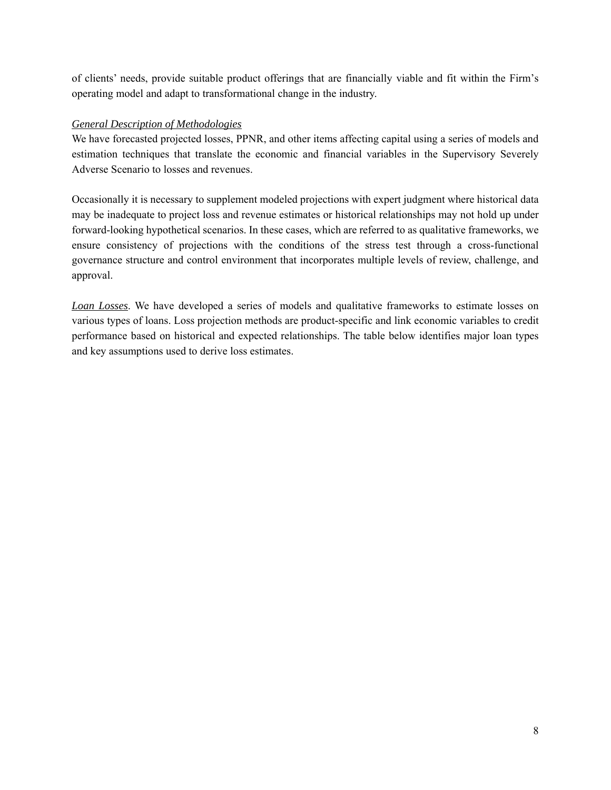of clients' needs, provide suitable product offerings that are financially viable and fit within the Firm's operating model and adapt to transformational change in the industry.

## *General Description of Methodologies*

We have forecasted projected losses, PPNR, and other items affecting capital using a series of models and estimation techniques that translate the economic and financial variables in the Supervisory Severely Adverse Scenario to losses and revenues.

Occasionally it is necessary to supplement modeled projections with expert judgment where historical data may be inadequate to project loss and revenue estimates or historical relationships may not hold up under forward-looking hypothetical scenarios. In these cases, which are referred to as qualitative frameworks, we ensure consistency of projections with the conditions of the stress test through a cross-functional governance structure and control environment that incorporates multiple levels of review, challenge, and approval.

 various types of loans. Loss projection methods are product-specific and link economic variables to credit *Loan Losses*. We have developed a series of models and qualitative frameworks to estimate losses on performance based on historical and expected relationships. The table below identifies major loan types and key assumptions used to derive loss estimates.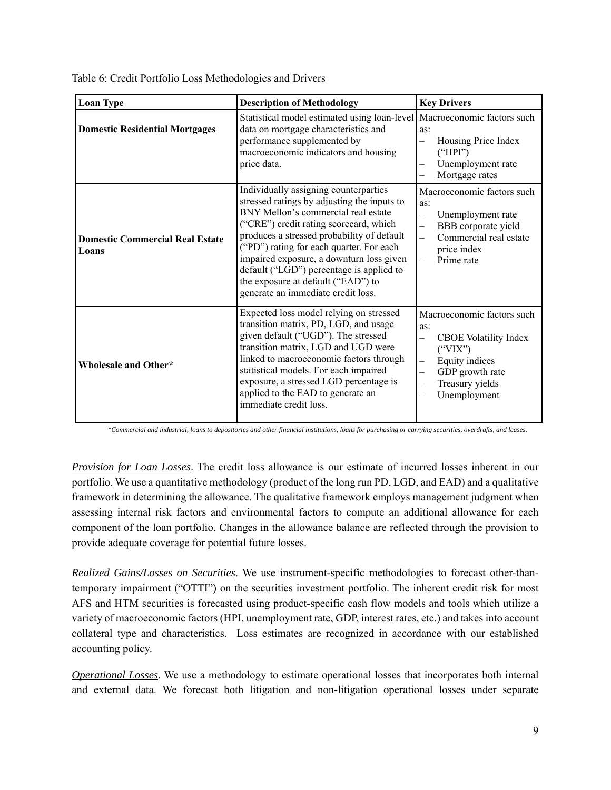Table 6: Credit Portfolio Loss Methodologies and Drivers

| <b>Loan Type</b>                                | <b>Description of Methodology</b>                                                                                                                                                                                                                                                                                                                                                                                                   | <b>Key Drivers</b>                                                                                                                                                                                                                                                 |
|-------------------------------------------------|-------------------------------------------------------------------------------------------------------------------------------------------------------------------------------------------------------------------------------------------------------------------------------------------------------------------------------------------------------------------------------------------------------------------------------------|--------------------------------------------------------------------------------------------------------------------------------------------------------------------------------------------------------------------------------------------------------------------|
| <b>Domestic Residential Mortgages</b>           | Statistical model estimated using loan-level   Macroeconomic factors such<br>data on mortgage characteristics and<br>performance supplemented by<br>macroeconomic indicators and housing<br>price data.                                                                                                                                                                                                                             | as:<br>Housing Price Index<br>$\overline{\phantom{0}}$<br>("HPI")<br>Unemployment rate<br>$\overline{\phantom{0}}$<br>Mortgage rates                                                                                                                               |
| <b>Domestic Commercial Real Estate</b><br>Loans | Individually assigning counterparties<br>stressed ratings by adjusting the inputs to<br>BNY Mellon's commercial real estate<br>("CRE") credit rating scorecard, which<br>produces a stressed probability of default<br>("PD") rating for each quarter. For each<br>impaired exposure, a downturn loss given<br>default ("LGD") percentage is applied to<br>the exposure at default ("EAD") to<br>generate an immediate credit loss. | Macroeconomic factors such<br>as:<br>Unemployment rate<br>$\overline{\phantom{0}}$<br>BBB corporate yield<br>$\equiv$<br>Commercial real estate<br>$\overline{\phantom{0}}$<br>price index<br>Prime rate<br>$\equiv$                                               |
| <b>Wholesale and Other*</b>                     | Expected loss model relying on stressed<br>transition matrix, PD, LGD, and usage<br>given default ("UGD"). The stressed<br>transition matrix, LGD and UGD were<br>linked to macroeconomic factors through<br>statistical models. For each impaired<br>exposure, a stressed LGD percentage is<br>applied to the EAD to generate an<br>immediate credit loss.                                                                         | Macroeconomic factors such<br>as:<br>CBOE Volatility Index<br>$\overline{\phantom{0}}$<br>("VIX")<br>Equity indices<br>$\overline{\phantom{0}}$<br>GDP growth rate<br>$\overline{\phantom{0}}$<br>Treasury yields<br>$\overline{\phantom{0}}$<br>Unemployment<br>— |

 *\*Commercial and industrial, loans to depositories and other financial institutions, loans for purchasing or carrying securities, overdrafts, and leases.* 

 portfolio. We use a quantitative methodology (product of the long run PD, LGD, and EAD) and a qualitative framework in determining the allowance. The qualitative framework employs management judgment when *Provision for Loan Losses*. The credit loss allowance is our estimate of incurred losses inherent in our assessing internal risk factors and environmental factors to compute an additional allowance for each component of the loan portfolio. Changes in the allowance balance are reflected through the provision to provide adequate coverage for potential future losses.

*Realized Gains/Losses on Securities*. We use instrument-specific methodologies to forecast other-thantemporary impairment ("OTTI") on the securities investment portfolio. The inherent credit risk for most AFS and HTM securities is forecasted using product-specific cash flow models and tools which utilize a variety of macroeconomic factors (HPI, unemployment rate, GDP, interest rates, etc.) and takes into account collateral type and characteristics. Loss estimates are recognized in accordance with our established accounting policy.

*Operational Losses*. We use a methodology to estimate operational losses that incorporates both internal and external data. We forecast both litigation and non-litigation operational losses under separate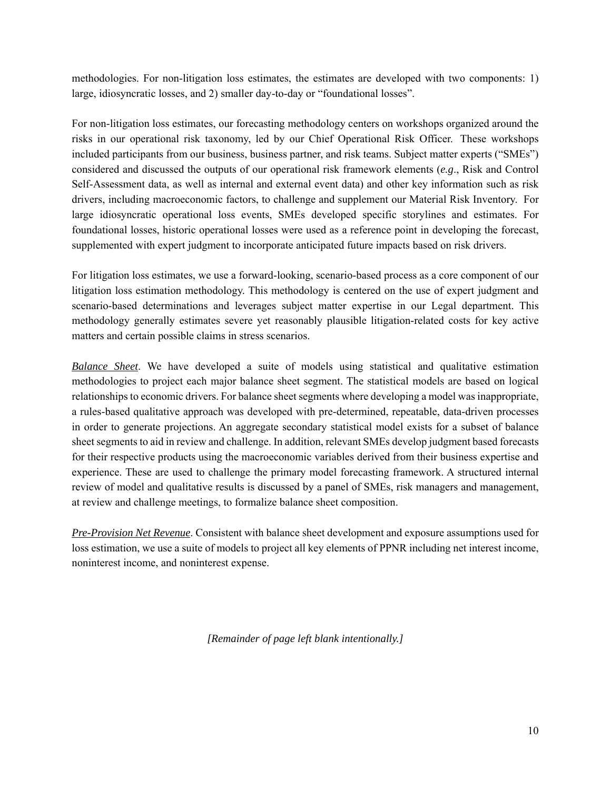methodologies. For non-litigation loss estimates, the estimates are developed with two components: 1) large, idiosyncratic losses, and 2) smaller day-to-day or "foundational losses".

 risks in our operational risk taxonomy, led by our Chief Operational Risk Officer. These workshops considered and discussed the outputs of our operational risk framework elements (*e.g*., Risk and Control For non-litigation loss estimates, our forecasting methodology centers on workshops organized around the included participants from our business, business partner, and risk teams. Subject matter experts ("SMEs") Self-Assessment data, as well as internal and external event data) and other key information such as risk drivers, including macroeconomic factors, to challenge and supplement our Material Risk Inventory. For large idiosyncratic operational loss events, SMEs developed specific storylines and estimates. For foundational losses, historic operational losses were used as a reference point in developing the forecast, supplemented with expert judgment to incorporate anticipated future impacts based on risk drivers.

For litigation loss estimates, we use a forward-looking, scenario-based process as a core component of our litigation loss estimation methodology. This methodology is centered on the use of expert judgment and scenario-based determinations and leverages subject matter expertise in our Legal department. This methodology generally estimates severe yet reasonably plausible litigation-related costs for key active matters and certain possible claims in stress scenarios.

 methodologies to project each major balance sheet segment. The statistical models are based on logical *Balance Sheet*. We have developed a suite of models using statistical and qualitative estimation relationships to economic drivers. For balance sheet segments where developing a model was inappropriate, a rules-based qualitative approach was developed with pre-determined, repeatable, data-driven processes in order to generate projections. An aggregate secondary statistical model exists for a subset of balance sheet segments to aid in review and challenge. In addition, relevant SMEs develop judgment based forecasts for their respective products using the macroeconomic variables derived from their business expertise and experience. These are used to challenge the primary model forecasting framework. A structured internal review of model and qualitative results is discussed by a panel of SMEs, risk managers and management, at review and challenge meetings, to formalize balance sheet composition.

*Pre-Provision Net Revenue*. Consistent with balance sheet development and exposure assumptions used for loss estimation, we use a suite of models to project all key elements of PPNR including net interest income, noninterest income, and noninterest expense.

*[Remainder of page left blank intentionally.]*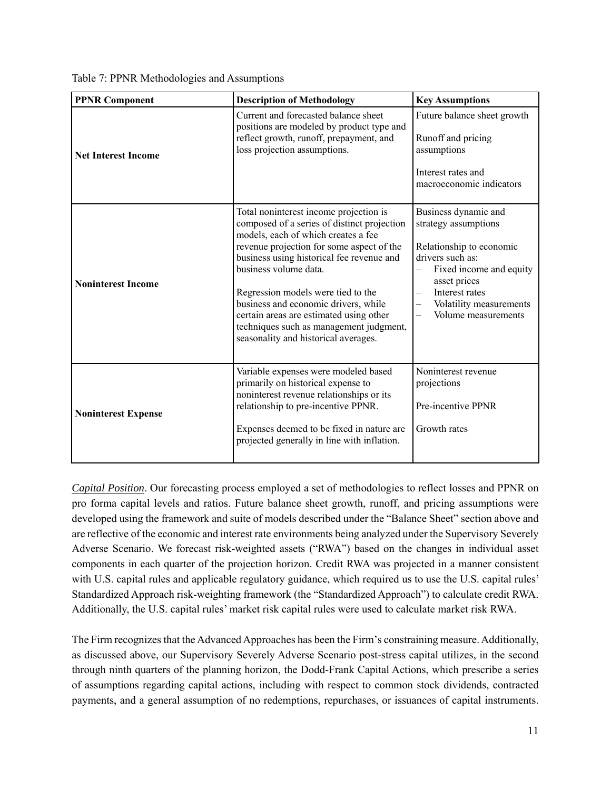Table 7: PPNR Methodologies and Assumptions

| <b>PPNR Component</b>      | <b>Description of Methodology</b>                                                                                                                                                                                                                                                                                                                                                                                                                           | <b>Key Assumptions</b>                                                                                                                                                                                                                                                                      |
|----------------------------|-------------------------------------------------------------------------------------------------------------------------------------------------------------------------------------------------------------------------------------------------------------------------------------------------------------------------------------------------------------------------------------------------------------------------------------------------------------|---------------------------------------------------------------------------------------------------------------------------------------------------------------------------------------------------------------------------------------------------------------------------------------------|
| <b>Net Interest Income</b> | Current and forecasted balance sheet<br>positions are modeled by product type and<br>reflect growth, runoff, prepayment, and<br>loss projection assumptions.                                                                                                                                                                                                                                                                                                | Future balance sheet growth<br>Runoff and pricing<br>assumptions<br>Interest rates and<br>macroeconomic indicators                                                                                                                                                                          |
| <b>Noninterest Income</b>  | Total noninterest income projection is<br>composed of a series of distinct projection<br>models, each of which creates a fee<br>revenue projection for some aspect of the<br>business using historical fee revenue and<br>business volume data.<br>Regression models were tied to the<br>business and economic drivers, while<br>certain areas are estimated using other<br>techniques such as management judgment,<br>seasonality and historical averages. | Business dynamic and<br>strategy assumptions<br>Relationship to economic<br>drivers such as:<br>Fixed income and equity<br>$\overline{\phantom{0}}$<br>asset prices<br>Interest rates<br>$\equiv$<br>Volatility measurements<br>$\overline{\phantom{0}}$<br>Volume measurements<br>$\equiv$ |
| <b>Noninterest Expense</b> | Variable expenses were modeled based<br>primarily on historical expense to<br>noninterest revenue relationships or its<br>relationship to pre-incentive PPNR.<br>Expenses deemed to be fixed in nature are<br>projected generally in line with inflation.                                                                                                                                                                                                   | Noninterest revenue<br>projections<br>Pre-incentive PPNR<br>Growth rates                                                                                                                                                                                                                    |

 Standardized Approach risk-weighting framework (the "Standardized Approach") to calculate credit RWA. *Capital Position*. Our forecasting process employed a set of methodologies to reflect losses and PPNR on pro forma capital levels and ratios. Future balance sheet growth, runoff, and pricing assumptions were developed using the framework and suite of models described under the "Balance Sheet" section above and are reflective of the economic and interest rate environments being analyzed under the Supervisory Severely Adverse Scenario. We forecast risk-weighted assets ("RWA") based on the changes in individual asset components in each quarter of the projection horizon. Credit RWA was projected in a manner consistent with U.S. capital rules and applicable regulatory guidance, which required us to use the U.S. capital rules' Additionally, the U.S. capital rules' market risk capital rules were used to calculate market risk RWA.

 as discussed above, our Supervisory Severely Adverse Scenario post-stress capital utilizes, in the second The Firm recognizes that the Advanced Approaches has been the Firm's constraining measure. Additionally, through ninth quarters of the planning horizon, the Dodd-Frank Capital Actions, which prescribe a series of assumptions regarding capital actions, including with respect to common stock dividends, contracted payments, and a general assumption of no redemptions, repurchases, or issuances of capital instruments.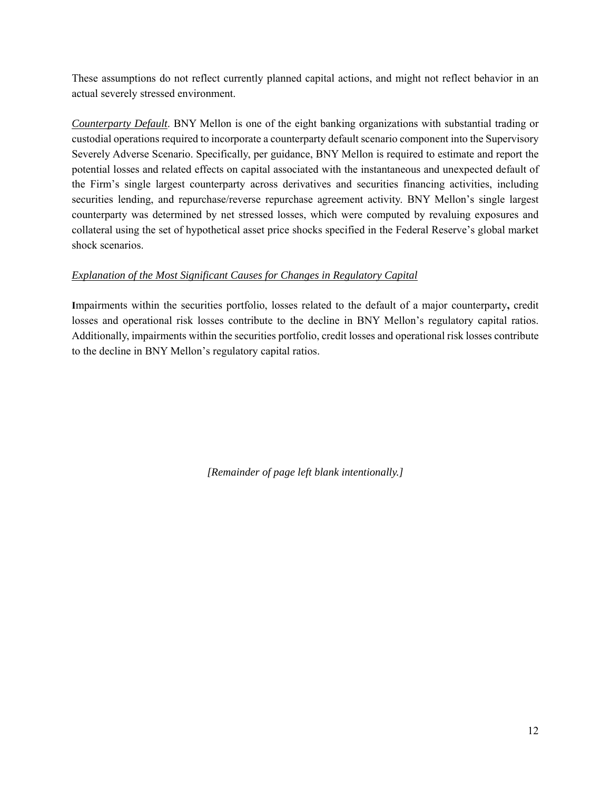These assumptions do not reflect currently planned capital actions, and might not reflect behavior in an actual severely stressed environment.

 Severely Adverse Scenario. Specifically, per guidance, BNY Mellon is required to estimate and report the *Counterparty Default*. BNY Mellon is one of the eight banking organizations with substantial trading or custodial operations required to incorporate a counterparty default scenario component into the Supervisory potential losses and related effects on capital associated with the instantaneous and unexpected default of the Firm's single largest counterparty across derivatives and securities financing activities, including securities lending, and repurchase/reverse repurchase agreement activity. BNY Mellon's single largest counterparty was determined by net stressed losses, which were computed by revaluing exposures and collateral using the set of hypothetical asset price shocks specified in the Federal Reserve's global market shock scenarios.

## *Explanation of the Most Significant Causes for Changes in Regulatory Capital*

 losses and operational risk losses contribute to the decline in BNY Mellon's regulatory capital ratios. **I**mpairments within the securities portfolio, losses related to the default of a major counterparty**,** credit Additionally, impairments within the securities portfolio, credit losses and operational risk losses contribute to the decline in BNY Mellon's regulatory capital ratios.

*[Remainder of page left blank intentionally.]*